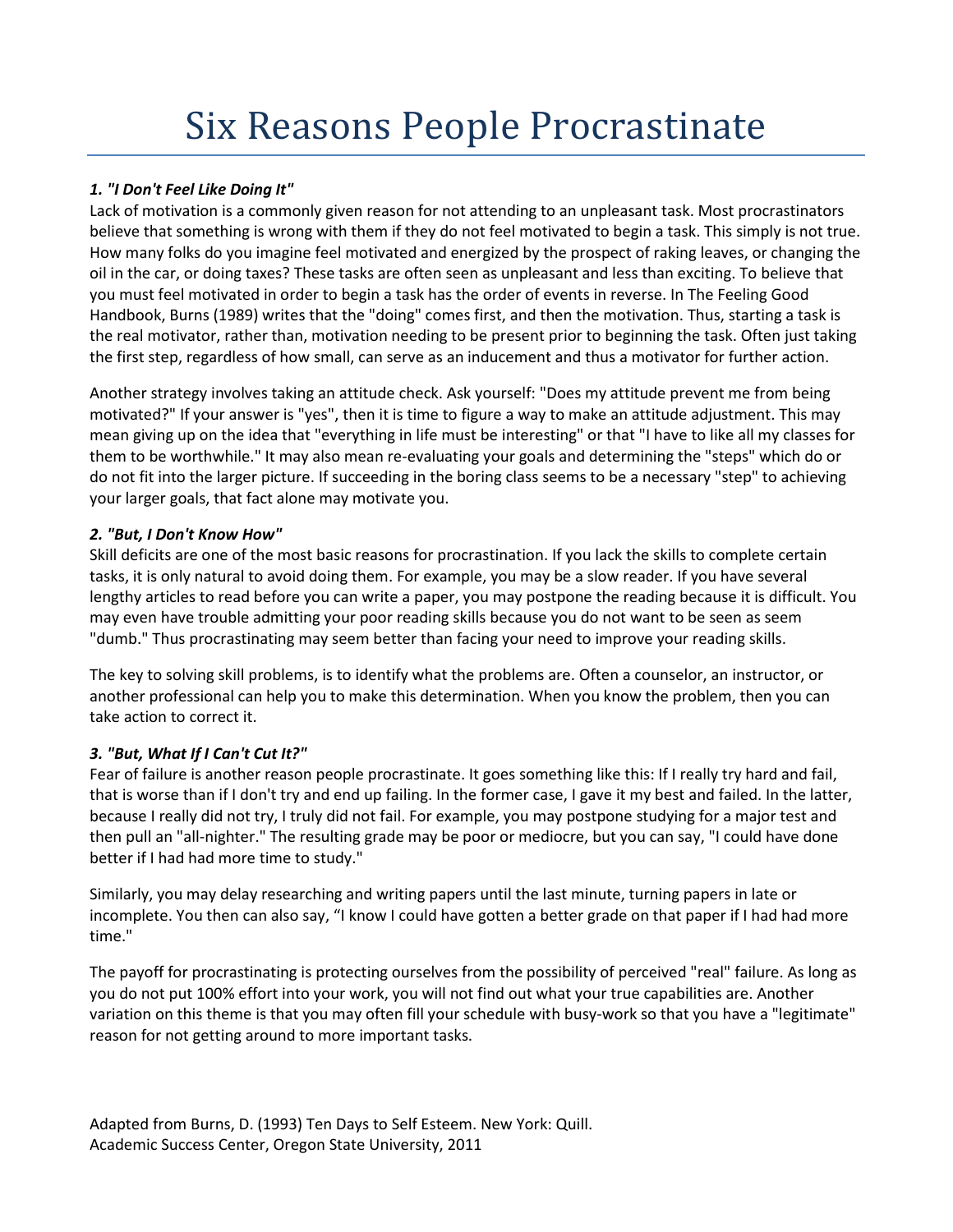# Six Reasons People Procrastinate

#### *1. "I Don't Feel Like Doing It"*

Lack of motivation is a commonly given reason for not attending to an unpleasant task. Most procrastinators believe that something is wrong with them if they do not feel motivated to begin a task. This simply is not true. How many folks do you imagine feel motivated and energized by the prospect of raking leaves, or changing the oil in the car, or doing taxes? These tasks are often seen as unpleasant and less than exciting. To believe that you must feel motivated in order to begin a task has the order of events in reverse. In The Feeling Good Handbook, Burns (1989) writes that the "doing" comes first, and then the motivation. Thus, starting a task is the real motivator, rather than, motivation needing to be present prior to beginning the task. Often just taking the first step, regardless of how small, can serve as an inducement and thus a motivator for further action.

Another strategy involves taking an attitude check. Ask yourself: "Does my attitude prevent me from being motivated?" If your answer is "yes", then it is time to figure a way to make an attitude adjustment. This may mean giving up on the idea that "everything in life must be interesting" or that "I have to like all my classes for them to be worthwhile." It may also mean re-evaluating your goals and determining the "steps" which do or do not fit into the larger picture. If succeeding in the boring class seems to be a necessary "step" to achieving your larger goals, that fact alone may motivate you.

#### *2. "But, I Don't Know How"*

Skill deficits are one of the most basic reasons for procrastination. If you lack the skills to complete certain tasks, it is only natural to avoid doing them. For example, you may be a slow reader. If you have several lengthy articles to read before you can write a paper, you may postpone the reading because it is difficult. You may even have trouble admitting your poor reading skills because you do not want to be seen as seem "dumb." Thus procrastinating may seem better than facing your need to improve your reading skills.

The key to solving skill problems, is to identify what the problems are. Often a counselor, an instructor, or another professional can help you to make this determination. When you know the problem, then you can take action to correct it.

# *3. "But, What If I Can't Cut It?"*

Fear of failure is another reason people procrastinate. It goes something like this: If I really try hard and fail, that is worse than if I don't try and end up failing. In the former case, I gave it my best and failed. In the latter, because I really did not try, I truly did not fail. For example, you may postpone studying for a major test and then pull an "all-nighter." The resulting grade may be poor or mediocre, but you can say, "I could have done better if I had had more time to study."

Similarly, you may delay researching and writing papers until the last minute, turning papers in late or incomplete. You then can also say, "I know I could have gotten a better grade on that paper if I had had more time."

The payoff for procrastinating is protecting ourselves from the possibility of perceived "real" failure. As long as you do not put 100% effort into your work, you will not find out what your true capabilities are. Another variation on this theme is that you may often fill your schedule with busy-work so that you have a "legitimate" reason for not getting around to more important tasks.

Adapted from Burns, D. (1993) Ten Days to Self Esteem. New York: Quill. Academic Success Center, Oregon State University, 2011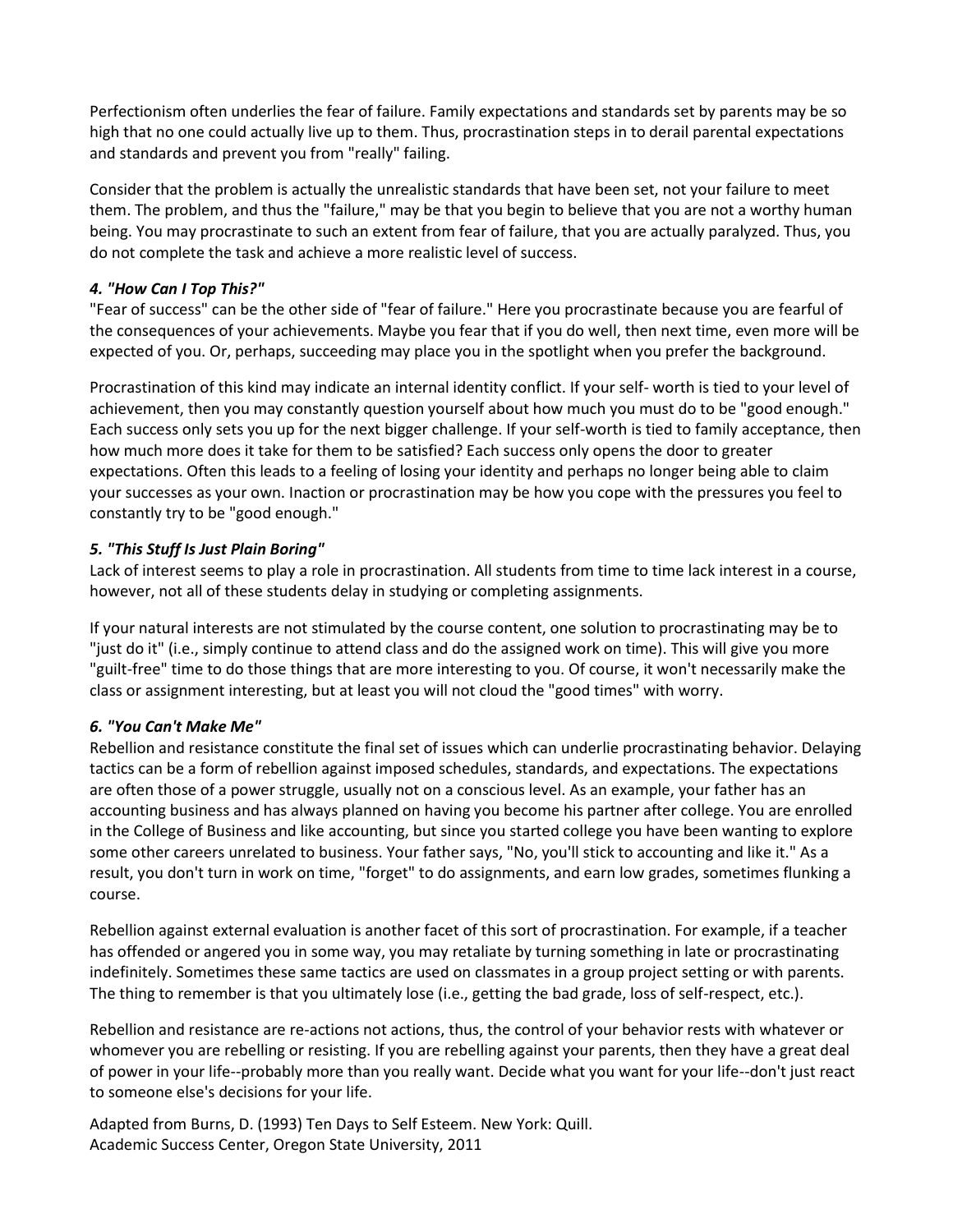Perfectionism often underlies the fear of failure. Family expectations and standards set by parents may be so high that no one could actually live up to them. Thus, procrastination steps in to derail parental expectations and standards and prevent you from "really" failing.

Consider that the problem is actually the unrealistic standards that have been set, not your failure to meet them. The problem, and thus the "failure," may be that you begin to believe that you are not a worthy human being. You may procrastinate to such an extent from fear of failure, that you are actually paralyzed. Thus, you do not complete the task and achieve a more realistic level of success.

#### *4. "How Can I Top This?"*

"Fear of success" can be the other side of "fear of failure." Here you procrastinate because you are fearful of the consequences of your achievements. Maybe you fear that if you do well, then next time, even more will be expected of you. Or, perhaps, succeeding may place you in the spotlight when you prefer the background.

Procrastination of this kind may indicate an internal identity conflict. If your self- worth is tied to your level of achievement, then you may constantly question yourself about how much you must do to be "good enough." Each success only sets you up for the next bigger challenge. If your self-worth is tied to family acceptance, then how much more does it take for them to be satisfied? Each success only opens the door to greater expectations. Often this leads to a feeling of losing your identity and perhaps no longer being able to claim your successes as your own. Inaction or procrastination may be how you cope with the pressures you feel to constantly try to be "good enough."

# *5. "This Stuff Is Just Plain Boring"*

Lack of interest seems to play a role in procrastination. All students from time to time lack interest in a course, however, not all of these students delay in studying or completing assignments.

If your natural interests are not stimulated by the course content, one solution to procrastinating may be to "just do it" (i.e., simply continue to attend class and do the assigned work on time). This will give you more "guilt-free" time to do those things that are more interesting to you. Of course, it won't necessarily make the class or assignment interesting, but at least you will not cloud the "good times" with worry.

# *6. "You Can't Make Me"*

Rebellion and resistance constitute the final set of issues which can underlie procrastinating behavior. Delaying tactics can be a form of rebellion against imposed schedules, standards, and expectations. The expectations are often those of a power struggle, usually not on a conscious level. As an example, your father has an accounting business and has always planned on having you become his partner after college. You are enrolled in the College of Business and like accounting, but since you started college you have been wanting to explore some other careers unrelated to business. Your father says, "No, you'll stick to accounting and like it." As a result, you don't turn in work on time, "forget" to do assignments, and earn low grades, sometimes flunking a course.

Rebellion against external evaluation is another facet of this sort of procrastination. For example, if a teacher has offended or angered you in some way, you may retaliate by turning something in late or procrastinating indefinitely. Sometimes these same tactics are used on classmates in a group project setting or with parents. The thing to remember is that you ultimately lose (i.e., getting the bad grade, loss of self-respect, etc.).

Rebellion and resistance are re-actions not actions, thus, the control of your behavior rests with whatever or whomever you are rebelling or resisting. If you are rebelling against your parents, then they have a great deal of power in your life--probably more than you really want. Decide what you want for your life--don't just react to someone else's decisions for your life.

Adapted from Burns, D. (1993) Ten Days to Self Esteem. New York: Quill. Academic Success Center, Oregon State University, 2011